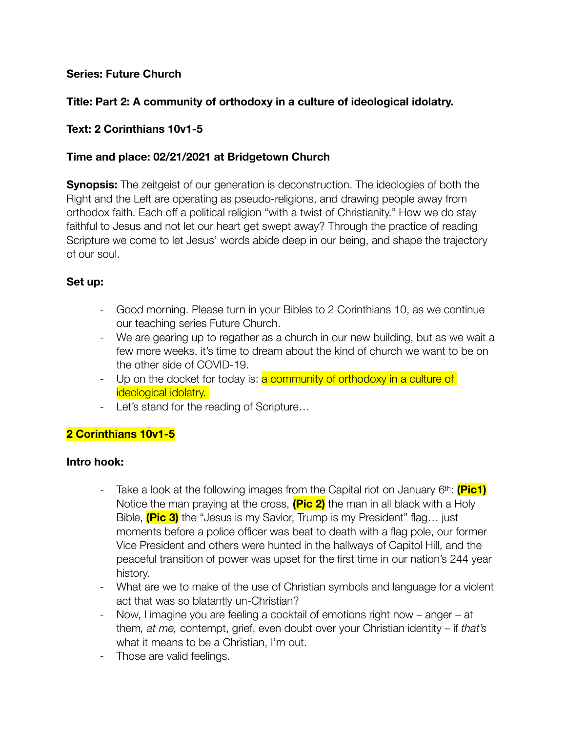## **Series: Future Church**

## **Title: Part 2: A community of orthodoxy in a culture of ideological idolatry.**

#### **Text: 2 Corinthians 10v1-5**

#### **Time and place: 02/21/2021 at Bridgetown Church**

**Synopsis:** The zeitgeist of our generation is deconstruction. The ideologies of both the Right and the Left are operating as pseudo-religions, and drawing people away from orthodox faith. Each off a political religion "with a twist of Christianity." How we do stay faithful to Jesus and not let our heart get swept away? Through the practice of reading Scripture we come to let Jesus' words abide deep in our being, and shape the trajectory of our soul.

#### **Set up:**

- Good morning. Please turn in your Bibles to 2 Corinthians 10, as we continue our teaching series Future Church.
- We are gearing up to regather as a church in our new building, but as we wait a few more weeks, it's time to dream about the kind of church we want to be on the other side of COVID-19.
- Up on the docket for today is: **a community of orthodoxy in a culture of** ideological idolatry.
- Let's stand for the reading of Scripture…

## **2 Corinthians 10v1-5**

#### **Intro hook:**

- Take a look at the following images from the Capital riot on January 6th: **(Pic1)** Notice the man praying at the cross, **(Pic 2)** the man in all black with a Holy Bible, **(Pic 3)** the "Jesus is my Savior, Trump is my President" flag… just moments before a police officer was beat to death with a flag pole, our former Vice President and others were hunted in the hallways of Capitol Hill, and the peaceful transition of power was upset for the first time in our nation's 244 year history.
- What are we to make of the use of Christian symbols and language for a violent act that was so blatantly un-Christian?
- Now, I imagine you are feeling a cocktail of emotions right now anger at them*, at me,* contempt, grief, even doubt over your Christian identity – if *that's*  what it means to be a Christian, I'm out.
- Those are valid feelings.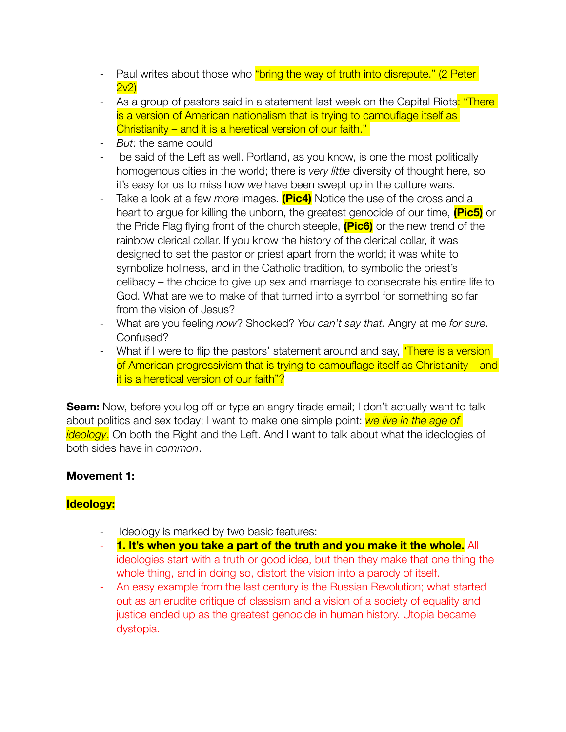- Paul writes about those who "bring the way of truth into disrepute." (2 Peter 2v2)
- As a group of pastors said in a statement last week on the Capital Riots: "There is a version of American nationalism that is trying to camouflage itself as Christianity – and it is a heretical version of our faith."
- *But*: the same could
- be said of the Left as well. Portland, as you know, is one the most politically homogenous cities in the world; there is *very little* diversity of thought here, so it's easy for us to miss how *we* have been swept up in the culture wars.
- Take a look at a few *more* images. **(Pic4)** Notice the use of the cross and a heart to argue for killing the unborn, the greatest genocide of our time, **(Pic5)** or the Pride Flag flying front of the church steeple, **(Pic6)** or the new trend of the rainbow clerical collar. If you know the history of the clerical collar, it was designed to set the pastor or priest apart from the world; it was white to symbolize holiness, and in the Catholic tradition, to symbolic the priest's celibacy – the choice to give up sex and marriage to consecrate his entire life to God. What are we to make of that turned into a symbol for something so far from the vision of Jesus?
- What are you feeling *now*? Shocked? *You can't say that.* Angry at me *for sure*. Confused?
- What if I were to flip the pastors' statement around and say, *"There is a version* of American progressivism that is trying to camouflage itself as Christianity – and it is a heretical version of our faith"?

**Seam:** Now, before you log off or type an angry tirade email; I don't actually want to talk about politics and sex today; I want to make one simple point: *we live in the age of ideology*. On both the Right and the Left. And I want to talk about what the ideologies of both sides have in *common*.

## **Movement 1:**

# **Ideology:**

- Ideology is marked by two basic features:
- **1. It's when you take a part of the truth and you make it the whole.** All ideologies start with a truth or good idea, but then they make that one thing the whole thing, and in doing so, distort the vision into a parody of itself.
- An easy example from the last century is the Russian Revolution; what started out as an erudite critique of classism and a vision of a society of equality and justice ended up as the greatest genocide in human history. Utopia became dystopia.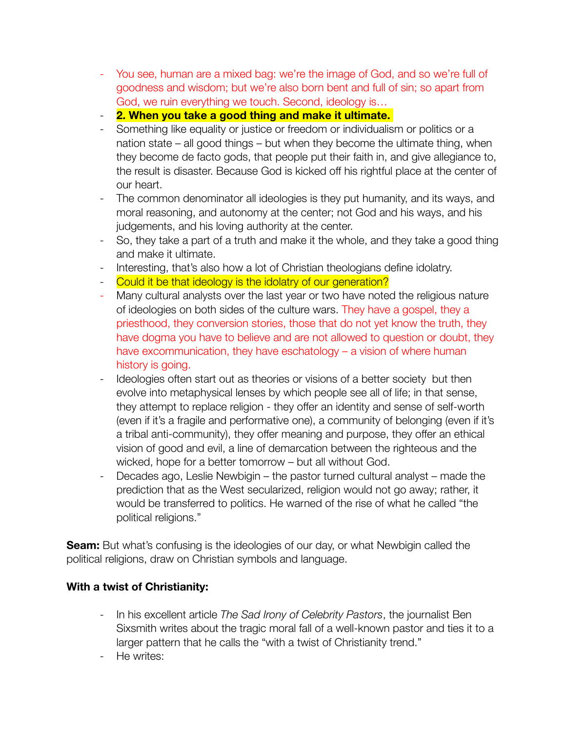- You see, human are a mixed bag: we're the image of God, and so we're full of goodness and wisdom; but we're also born bent and full of sin; so apart from God, we ruin everything we touch. Second, ideology is…
- **2. When you take a good thing and make it ultimate.**
- Something like equality or justice or freedom or individualism or politics or a nation state – all good things – but when they become the ultimate thing, when they become de facto gods, that people put their faith in, and give allegiance to, the result is disaster. Because God is kicked off his rightful place at the center of our heart.
- The common denominator all ideologies is they put humanity, and its ways, and moral reasoning, and autonomy at the center; not God and his ways, and his judgements, and his loving authority at the center.
- So, they take a part of a truth and make it the whole, and they take a good thing and make it ultimate.
- Interesting, that's also how a lot of Christian theologians define idolatry.
- Could it be that ideology is the idolatry of our generation?
- Many cultural analysts over the last year or two have noted the religious nature of ideologies on both sides of the culture wars. They have a gospel, they a priesthood, they conversion stories, those that do not yet know the truth, they have dogma you have to believe and are not allowed to question or doubt, they have excommunication, they have eschatology – a vision of where human history is going.
- Ideologies often start out as theories or visions of a better society but then evolve into metaphysical lenses by which people see all of life; in that sense, they attempt to replace religion - they offer an identity and sense of self-worth (even if it's a fragile and performative one), a community of belonging (even if it's a tribal anti-community), they offer meaning and purpose, they offer an ethical vision of good and evil, a line of demarcation between the righteous and the wicked, hope for a better tomorrow – but all without God.
- Decades ago, Leslie Newbigin the pastor turned cultural analyst made the prediction that as the West secularized, religion would not go away; rather, it would be transferred to politics. He warned of the rise of what he called "the political religions."

**Seam:** But what's confusing is the ideologies of our day, or what Newbigin called the political religions, draw on Christian symbols and language.

# **With a twist of Christianity:**

- In his excellent article *The Sad Irony of Celebrity Pastors*, the journalist Ben Sixsmith writes about the tragic moral fall of a well-known pastor and ties it to a larger pattern that he calls the "with a twist of Christianity trend."
- He writes: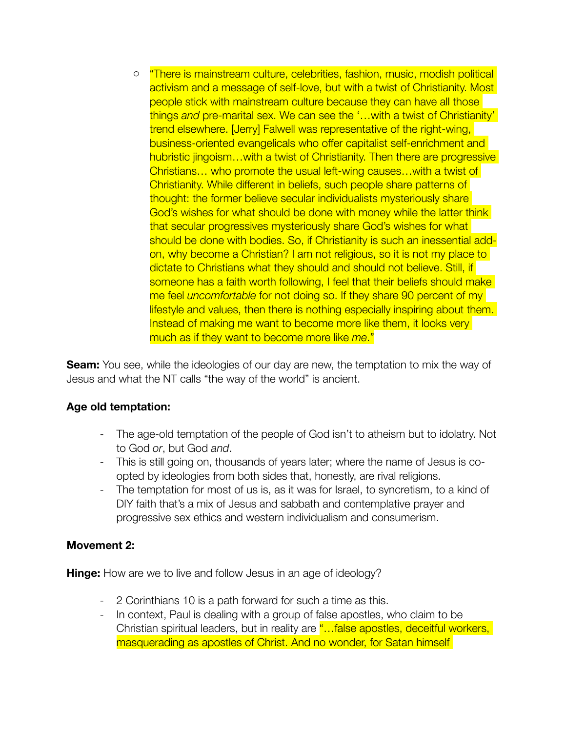o "There is mainstream culture, celebrities, fashion, music, modish political activism and a message of self-love, but with a twist of Christianity. Most people stick with mainstream culture because they can have all those things *and* pre-marital sex. We can see the '…with a twist of Christianity' trend elsewhere. [Jerry] Falwell was representative of the right-wing, business-oriented evangelicals who offer capitalist self-enrichment and hubristic jingoism...with a twist of Christianity. Then there are progressive Christians… who promote the usual left-wing causes…with a twist of Christianity. While different in beliefs, such people share patterns of thought: the former believe secular individualists mysteriously share God's wishes for what should be done with money while the latter think that secular progressives mysteriously share God's wishes for what should be done with bodies. So, if Christianity is such an inessential addon, why become a Christian? I am not religious, so it is not my place to dictate to Christians what they should and should not believe. Still, if someone has a faith worth following, I feel that their beliefs should make me feel *uncomfortable* for not doing so. If they share 90 percent of my lifestyle and values, then there is nothing especially inspiring about them. Instead of making me want to become more like them, it looks very much as if they want to become more like *me*."

**Seam:** You see, while the ideologies of our day are new, the temptation to mix the way of Jesus and what the NT calls "the way of the world" is ancient.

## **Age old temptation:**

- The age-old temptation of the people of God isn't to atheism but to idolatry. Not to God *or*, but God *and*.
- This is still going on, thousands of years later; where the name of Jesus is coopted by ideologies from both sides that, honestly, are rival religions.
- The temptation for most of us is, as it was for Israel, to syncretism, to a kind of DIY faith that's a mix of Jesus and sabbath and contemplative prayer and progressive sex ethics and western individualism and consumerism.

## **Movement 2:**

**Hinge:** How are we to live and follow Jesus in an age of ideology?

- 2 Corinthians 10 is a path forward for such a time as this.
- In context, Paul is dealing with a group of false apostles, who claim to be Christian spiritual leaders, but in reality are "...false apostles, deceitful workers, masquerading as apostles of Christ. And no wonder, for Satan himself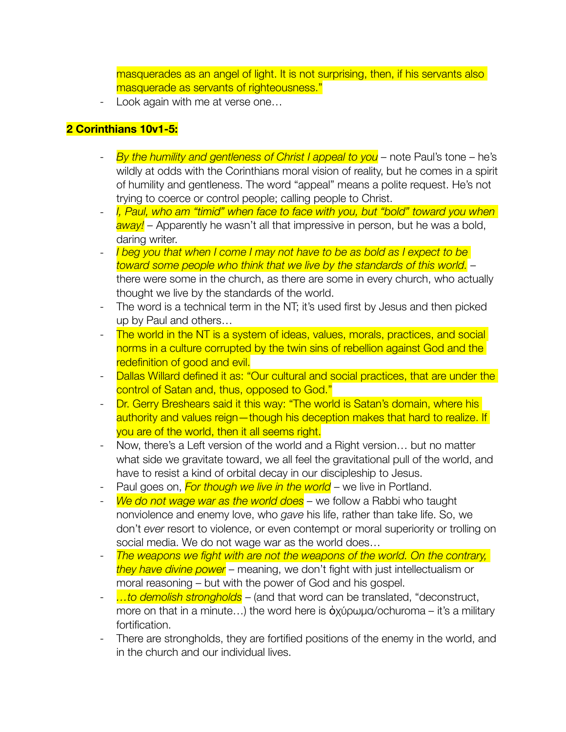masquerades as an angel of light. It is not surprising, then, if his servants also masquerade as servants of righteousness."

Look again with me at verse one...

# **2 Corinthians 10v1-5:**

- By the humility and gentleness of Christ I appeal to you note Paul's tone he's wildly at odds with the Corinthians moral vision of reality, but he comes in a spirit of humility and gentleness. The word "appeal" means a polite request. He's not trying to coerce or control people; calling people to Christ.
- *I, Paul, who am "timid" when face to face with you, but "bold" toward you when away! –* Apparently he wasn't all that impressive in person, but he was a bold, daring writer.
- *I beg you that when I come I may not have to be as bold as I expect to be toward some people who think that we live by the standards of this world. –*  there were some in the church, as there are some in every church, who actually thought we live by the standards of the world.
- The word is a technical term in the NT; it's used first by Jesus and then picked up by Paul and others…
- The world in the NT is a system of ideas, values, morals, practices, and social norms in a culture corrupted by the twin sins of rebellion against God and the redefinition of good and evil.
- Dallas Willard defined it as: "Our cultural and social practices, that are under the control of Satan and, thus, opposed to God."
- Dr. Gerry Breshears said it this way: "The world is Satan's domain, where his authority and values reign—though his deception makes that hard to realize. If you are of the world, then it all seems right.
- Now, there's a Left version of the world and a Right version… but no matter what side we gravitate toward, we all feel the gravitational pull of the world, and have to resist a kind of orbital decay in our discipleship to Jesus.
- Paul goes on, *For though we live in the world* we live in Portland.
- *We do not wage war as the world does* we follow a Rabbi who taught nonviolence and enemy love, who *gave* his life, rather than take life. So, we don't *ever* resort to violence, or even contempt or moral superiority or trolling on social media. We do not wage war as the world does…
- **The weapons we fight with are not the weapons of the world. On the contrary,** *they have divine power* – meaning, we don't fight with just intellectualism or moral reasoning – but with the power of God and his gospel.
- *…to demolish strongholds* (and that word can be translated, "deconstruct, more on that in a minute…) the word here is ὀχύρωμα/ochuroma *–* it's a military fortification.
- There are strongholds, they are fortified positions of the enemy in the world, and in the church and our individual lives.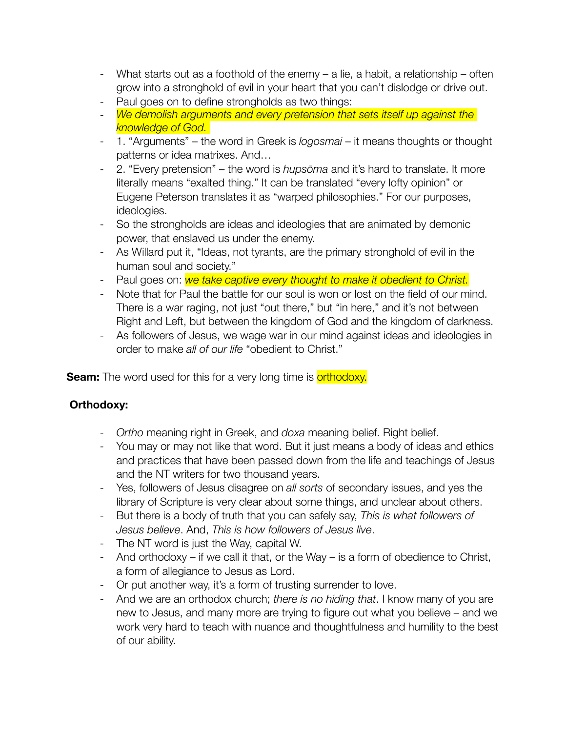- What starts out as a foothold of the enemy a lie, a habit, a relationship often grow into a stronghold of evil in your heart that you can't dislodge or drive out.
- Paul goes on to define strongholds as two things:
- *We demolish arguments and every pretension that sets itself up against the knowledge of God.*
- 1. "Arguments" the word in Greek is *logosmai* it means thoughts or thought patterns or idea matrixes. And…
- 2. "Every pretension" the word is *hupsōma* and it's hard to translate. It more literally means "exalted thing." It can be translated "every lofty opinion" or Eugene Peterson translates it as "warped philosophies." For our purposes, ideologies.
- So the strongholds are ideas and ideologies that are animated by demonic power, that enslaved us under the enemy.
- As Willard put it, "Ideas, not tyrants, are the primary stronghold of evil in the human soul and society."
- Paul goes on: *we take captive every thought to make it obedient to Christ.*
- Note that for Paul the battle for our soul is won or lost on the field of our mind. There is a war raging, not just "out there," but "in here," and it's not between Right and Left, but between the kingdom of God and the kingdom of darkness.
- As followers of Jesus, we wage war in our mind against ideas and ideologies in order to make *all of our life* "obedient to Christ."

**Seam:** The word used for this for a very long time is **orthodoxy.** 

# **Orthodoxy:**

- *Ortho* meaning right in Greek, and *doxa* meaning belief. Right belief.
- You may or may not like that word. But it just means a body of ideas and ethics and practices that have been passed down from the life and teachings of Jesus and the NT writers for two thousand years.
- Yes, followers of Jesus disagree on *all sorts* of secondary issues, and yes the library of Scripture is very clear about some things, and unclear about others.
- But there is a body of truth that you can safely say, *This is what followers of Jesus believe*. And, *This is how followers of Jesus live*.
- The NT word is just the Way, capital W.
- And orthodoxy if we call it that, or the Way is a form of obedience to Christ, a form of allegiance to Jesus as Lord.
- Or put another way, it's a form of trusting surrender to love.
- And we are an orthodox church; *there is no hiding that*. I know many of you are new to Jesus, and many more are trying to figure out what you believe – and we work very hard to teach with nuance and thoughtfulness and humility to the best of our ability.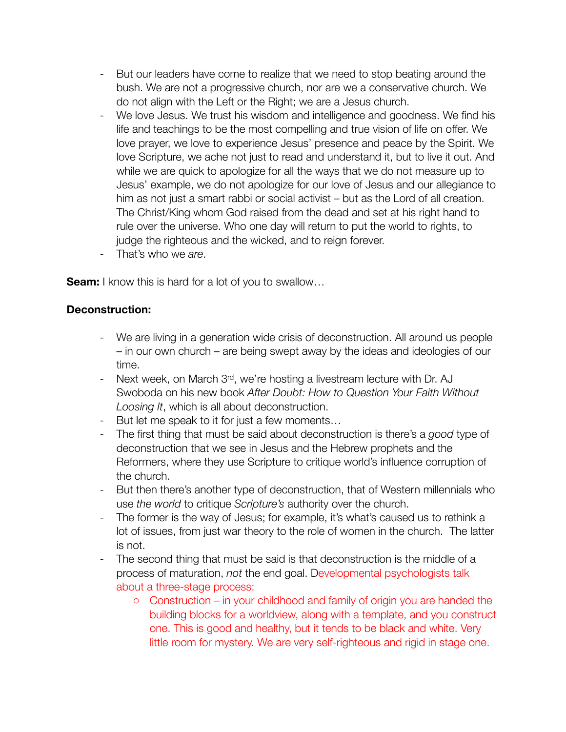- But our leaders have come to realize that we need to stop beating around the bush. We are not a progressive church, nor are we a conservative church. We do not align with the Left or the Right; we are a Jesus church.
- We love Jesus. We trust his wisdom and intelligence and goodness. We find his life and teachings to be the most compelling and true vision of life on offer. We love prayer, we love to experience Jesus' presence and peace by the Spirit. We love Scripture, we ache not just to read and understand it, but to live it out. And while we are quick to apologize for all the ways that we do not measure up to Jesus' example, we do not apologize for our love of Jesus and our allegiance to him as not just a smart rabbi or social activist – but as the Lord of all creation. The Christ/King whom God raised from the dead and set at his right hand to rule over the universe. Who one day will return to put the world to rights, to judge the righteous and the wicked, and to reign forever.
- That's who we *are*.

**Seam:** I know this is hard for a lot of you to swallow...

#### **Deconstruction:**

- We are living in a generation wide crisis of deconstruction. All around us people – in our own church – are being swept away by the ideas and ideologies of our time.
- Next week, on March  $3<sup>rd</sup>$ , we're hosting a livestream lecture with Dr. AJ Swoboda on his new book *After Doubt: How to Question Your Faith Without Loosing It*, which is all about deconstruction.
- But let me speak to it for just a few moments…
- The first thing that must be said about deconstruction is there's a *good* type of deconstruction that we see in Jesus and the Hebrew prophets and the Reformers, where they use Scripture to critique world's influence corruption of the church.
- But then there's another type of deconstruction, that of Western millennials who use *the world* to critique *Scripture's* authority over the church.
- The former is the way of Jesus; for example, it's what's caused us to rethink a lot of issues, from just war theory to the role of women in the church. The latter is not.
- The second thing that must be said is that deconstruction is the middle of a process of maturation, *not* the end goal. Developmental psychologists talk about a three-stage process:
	- o Construction in your childhood and family of origin you are handed the building blocks for a worldview, along with a template, and you construct one. This is good and healthy, but it tends to be black and white. Very little room for mystery. We are very self-righteous and rigid in stage one.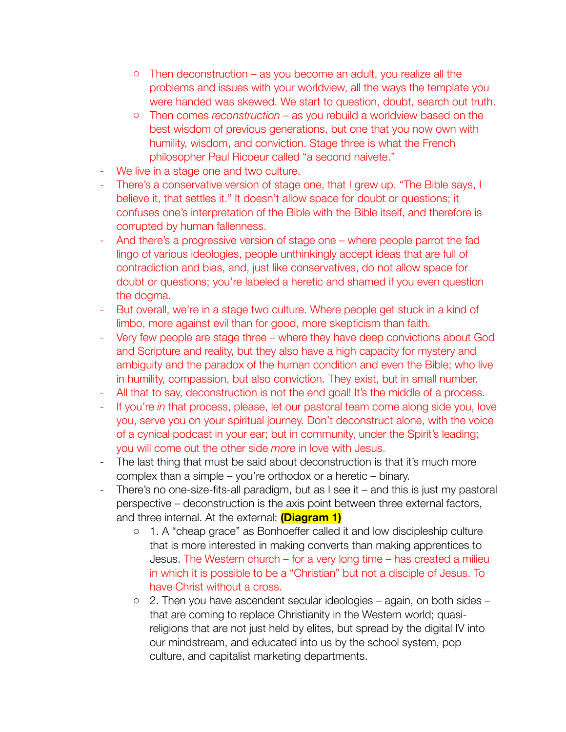- o Then deconstruction as you become an adult, you realize all the problems and issues with your worldview, all the ways the template you were handed was skewed. We start to question, doubt, search out truth.
- o Then comes *reconstruction*  as you rebuild a worldview based on the best wisdom of previous generations, but one that you now own with humility, wisdom, and conviction. Stage three is what the French philosopher Paul Ricoeur called "a second naivete."
- We live in a stage one and two culture.
- There's a conservative version of stage one, that I grew up. "The Bible says, I believe it, that settles it." It doesn't allow space for doubt or questions; it confuses one's interpretation of the Bible with the Bible itself, and therefore is corrupted by human fallenness.
- And there's a progressive version of stage one where people parrot the fad lingo of various ideologies, people unthinkingly accept ideas that are full of contradiction and bias, and, just like conservatives, do not allow space for doubt or questions; you're labeled a heretic and shamed if you even question the dogma.
- But overall, we're in a stage two culture. Where people get stuck in a kind of limbo, more against evil than for good, more skepticism than faith.
- Very few people are stage three where they have deep convictions about God and Scripture and reality, but they also have a high capacity for mystery and ambiguity and the paradox of the human condition and even the Bible; who live in humility, compassion, but also conviction. They exist, but in small number.
- All that to say, deconstruction is not the end goal! It's the middle of a process.
- If you're *in* that process, please, let our pastoral team come along side you, love you, serve you on your spiritual journey. Don't deconstruct alone, with the voice of a cynical podcast in your ear; but in community, under the Spirit's leading; you will come out the other side *more* in love with Jesus.
- The last thing that must be said about deconstruction is that it's much more complex than a simple – you're orthodox or a heretic – binary.
- There's no one-size-fits-all paradigm, but as I see it and this is just my pastoral perspective – deconstruction is the axis point between three external factors, and three internal. At the external: **(Diagram 1)**
	- o 1. A "cheap grace" as Bonhoeffer called it and low discipleship culture that is more interested in making converts than making apprentices to Jesus. The Western church – for a very long time – has created a milieu in which it is possible to be a "Christian" but not a disciple of Jesus. To have Christ without a cross.
	- o 2. Then you have ascendent secular ideologies again, on both sides that are coming to replace Christianity in the Western world; quasireligions that are not just held by elites, but spread by the digital IV into our mindstream, and educated into us by the school system, pop culture, and capitalist marketing departments.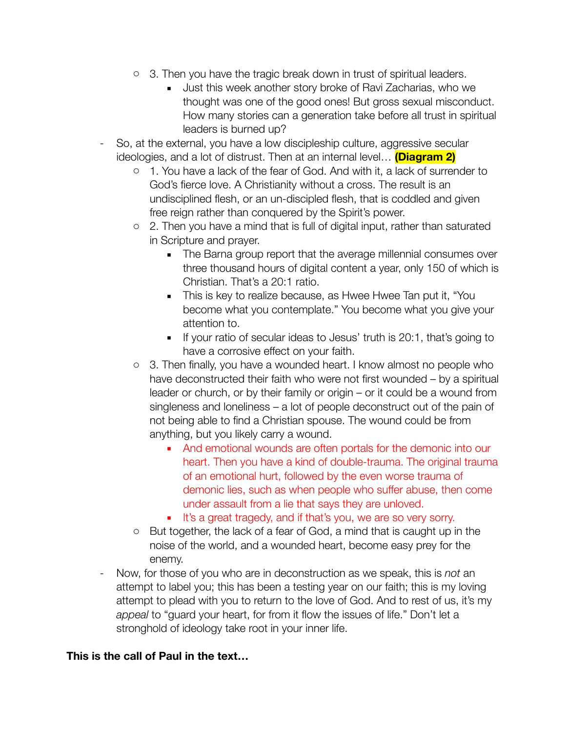- o 3. Then you have the tragic break down in trust of spiritual leaders.
	- **.** Just this week another story broke of Ravi Zacharias, who we thought was one of the good ones! But gross sexual misconduct. How many stories can a generation take before all trust in spiritual leaders is burned up?
- So, at the external, you have a low discipleship culture, aggressive secular ideologies, and a lot of distrust. Then at an internal level… **(Diagram 2)**
	- o 1. You have a lack of the fear of God. And with it, a lack of surrender to God's fierce love. A Christianity without a cross. The result is an undisciplined flesh, or an un-discipled flesh, that is coddled and given free reign rather than conquered by the Spirit's power.
	- $\circ$  2. Then you have a mind that is full of digital input, rather than saturated in Scripture and prayer.
		- The Barna group report that the average millennial consumes over three thousand hours of digital content a year, only 150 of which is Christian. That's a 20:1 ratio.
		- **This is key to realize because, as Hwee Hwee Tan put it, "You** become what you contemplate." You become what you give your attention to.
		- If your ratio of secular ideas to Jesus' truth is 20:1, that's going to have a corrosive effect on your faith.
	- o 3. Then finally, you have a wounded heart. I know almost no people who have deconstructed their faith who were not first wounded – by a spiritual leader or church, or by their family or origin – or it could be a wound from singleness and loneliness – a lot of people deconstruct out of the pain of not being able to find a Christian spouse. The wound could be from anything, but you likely carry a wound.
		- And emotional wounds are often portals for the demonic into our heart. Then you have a kind of double-trauma. The original trauma of an emotional hurt, followed by the even worse trauma of demonic lies, such as when people who suffer abuse, then come under assault from a lie that says they are unloved.
		- **EXECT:** It's a great tragedy, and if that's you, we are so very sorry.
	- o But together, the lack of a fear of God, a mind that is caught up in the noise of the world, and a wounded heart, become easy prey for the enemy.
- Now, for those of you who are in deconstruction as we speak, this is *not* an attempt to label you; this has been a testing year on our faith; this is my loving attempt to plead with you to return to the love of God. And to rest of us, it's my *appeal* to "guard your heart, for from it flow the issues of life." Don't let a stronghold of ideology take root in your inner life.

## **This is the call of Paul in the text…**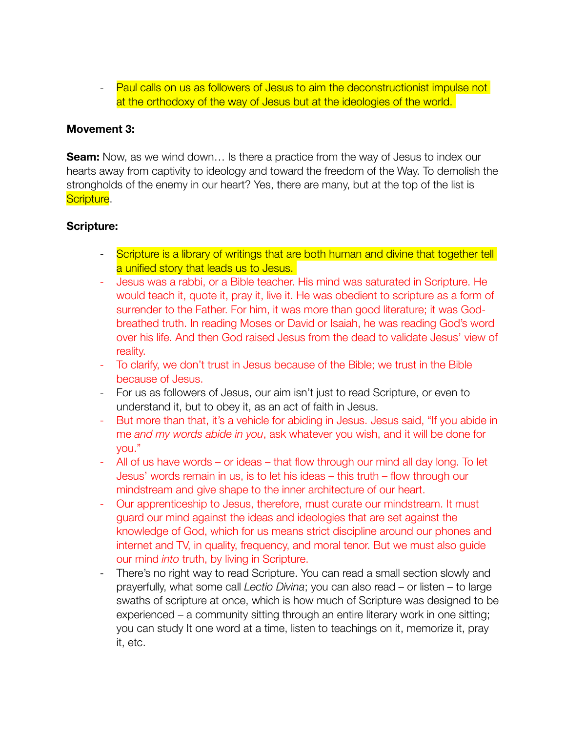- Paul calls on us as followers of Jesus to aim the deconstructionist impulse not at the orthodoxy of the way of Jesus but at the ideologies of the world.

#### **Movement 3:**

**Seam:** Now, as we wind down... Is there a practice from the way of Jesus to index our hearts away from captivity to ideology and toward the freedom of the Way. To demolish the strongholds of the enemy in our heart? Yes, there are many, but at the top of the list is Scripture.

#### **Scripture:**

- Scripture is a library of writings that are both human and divine that together tell a unified story that leads us to Jesus.
- Jesus was a rabbi, or a Bible teacher. His mind was saturated in Scripture. He would teach it, quote it, pray it, live it. He was obedient to scripture as a form of surrender to the Father. For him, it was more than good literature; it was Godbreathed truth. In reading Moses or David or Isaiah, he was reading God's word over his life. And then God raised Jesus from the dead to validate Jesus' view of reality.
- To clarify, we don't trust in Jesus because of the Bible; we trust in the Bible because of Jesus.
- For us as followers of Jesus, our aim isn't just to read Scripture, or even to understand it, but to obey it, as an act of faith in Jesus.
- But more than that, it's a vehicle for abiding in Jesus. Jesus said, "If you abide in me *and my words abide in you*, ask whatever you wish, and it will be done for you."
- All of us have words or ideas that flow through our mind all day long. To let Jesus' words remain in us, is to let his ideas – this truth – flow through our mindstream and give shape to the inner architecture of our heart.
- Our apprenticeship to Jesus, therefore, must curate our mindstream. It must guard our mind against the ideas and ideologies that are set against the knowledge of God, which for us means strict discipline around our phones and internet and TV, in quality, frequency, and moral tenor. But we must also guide our mind *into* truth, by living in Scripture.
- There's no right way to read Scripture. You can read a small section slowly and prayerfully, what some call *Lectio Divina*; you can also read – or listen – to large swaths of scripture at once, which is how much of Scripture was designed to be experienced – a community sitting through an entire literary work in one sitting; you can study It one word at a time, listen to teachings on it, memorize it, pray it, etc.